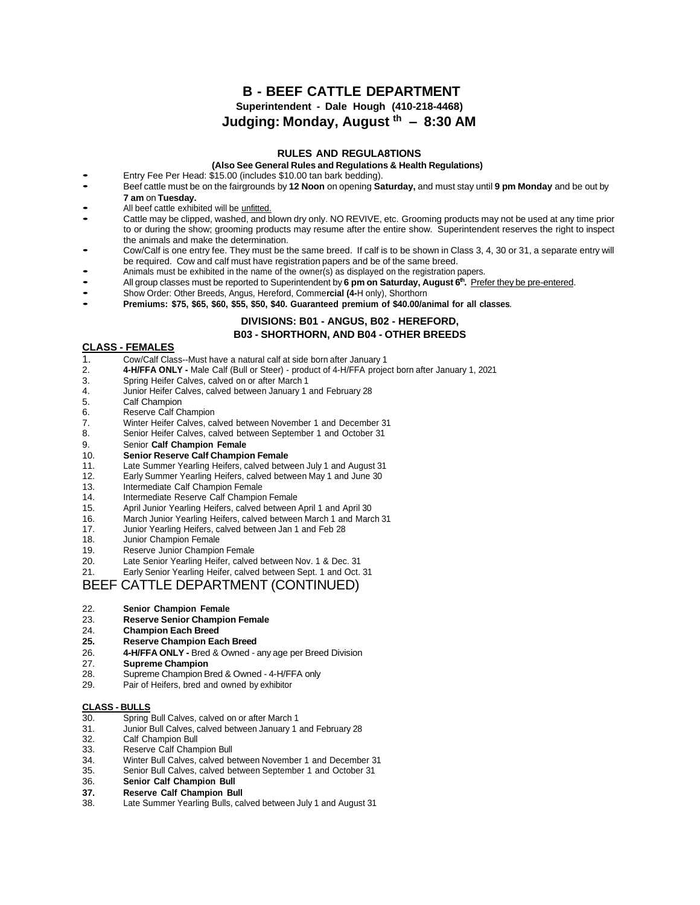# **B - BEEF CATTLE DEPARTMENT Superintendent - Dale Hough (410-218-4468) Judging: Monday, August th – 8:30 AM**

## **RULES AND REGULA8TIONS**

#### **(Also See General Rules and Regulations & Health Regulations)**

- Also See General Rules and Regulation<br>Entry Fee Per Head: \$15.00 (includes \$10.00 tan bark bedding).
- Beef cattle must be on the fairgrounds by **<sup>12</sup> Noon** on opening **Saturday,** and must stay until **<sup>9</sup> pm Monday** and be out by **7 am** on **Tuesday.**
- All beef cattle exhibited will be unfitted.
- Cattle may be clipped, washed, and blown dry only. NO REVIVE, etc. Grooming products may not be used at any time prior to or during the show; grooming products may resume after the entire show. Superintendent reserves the right to inspect the animals and make the determination.
- Cow/Calf is one entry fee. They must be the same breed. If calf is to be shown in Class 3, 4, <sup>30</sup> or 31, <sup>a</sup> separate entry will be required. Cow and calf must have registration papers and be of the same breed.
- Animals must be exhibited in the name of the owner(s) as displayed on the registration papers.
- All group classes must be reported to Superintendent by **<sup>6</sup> pm on Saturday, August <sup>6</sup> th .** Prefer they be pre-entered.
- Show Order: Other Breeds, Angus, Hereford, Comme**rcial (4-**<sup>H</sup> only), Shorthorn
- **Premiums: \$75, \$65, \$60, \$55, \$50, \$40. Guaranteed premium of \$40.00/animal for all classes.**

# **DIVISIONS: B01 - ANGUS, B02 - HEREFORD, B03 - SHORTHORN, AND B04 - OTHER BREEDS**

## **CLASS - FEMALES**

- 1. Cow/Calf Class--Must have a natural calf at side born after January 1
- 2. **4-H/FFA ONLY -** Male Calf (Bull or Steer) product of 4-H/FFA project born after January 1, 2021
- 3. Spring Heifer Calves, calved on or after March 1
- 4. Junior Heifer Calves, calved between January 1 and February 28<br>5. Calf Champion
- Calf Champion
- 6. Reserve Calf Champion
- 7. Winter Heifer Calves, calved between November 1 and December 31
- 8. Senior Heifer Calves, calved between September 1 and October 31
- 9. Senior **Calf Champion Female**
- 10. **Senior Reserve Calf Champion Female**
- Late Summer Yearling Heifers, calved between July 1 and August 31
- 12. Early Summer Yearling Heifers, calved between May 1 and June 30
- 13. Intermediate Calf Champion Female<br>14. Intermediate Reserve Calf Champion
- Intermediate Reserve Calf Champion Female
- 15. April Junior Yearling Heifers, calved between April 1 and April 30
- 16. March Junior Yearling Heifers, calved between March 1 and March 31
- 17. Junior Yearling Heifers, calved between Jan 1 and Feb 28
- 18. Junior Champion Female
- 19. Reserve Junior Champion Female<br>20. Late Senior Yearling Heifer, calved
- Late Senior Yearling Heifer, calved between Nov. 1 & Dec. 31
- 21. Early Senior Yearling Heifer, calved between Sept. 1 and Oct. 31

# BEEF CATTLE DEPARTMENT (CONTINUED)

- 
- 22. **Senior Champion Female** 23. **Reserve Senior Champion Female**
- 24. **Champion Each Breed**
- **25. Reserve Champion Each Breed**
- 26. **4-H/FFA ONLY -** Bred & Owned any age per Breed Division
- 
- 27. **Supreme Champion** Supreme Champion Bred & Owned - 4-H/FFA only
- 29. Pair of Heifers, bred and owned by exhibitor

## **CLASS - BULLS**

- 30. Spring Bull Calves, calved on or after March 1<br>31. Junior Bull Calves. calved between January 1
- 31. Junior Bull Calves, calved between January 1 and February 28<br>32. Calf Champion Bull
- 32. Calf Champion Bull<br>33. Reserve Calf Cham
- Reserve Calf Champion Bull
- 34. Winter Bull Calves, calved between November 1 and December 31
- 35. Senior Bull Calves, calved between September 1 and October 31
- 36. **Senior Calf Champion Bull**
- **37. Reserve Calf Champion Bull**
- Late Summer Yearling Bulls, calved between July 1 and August 31